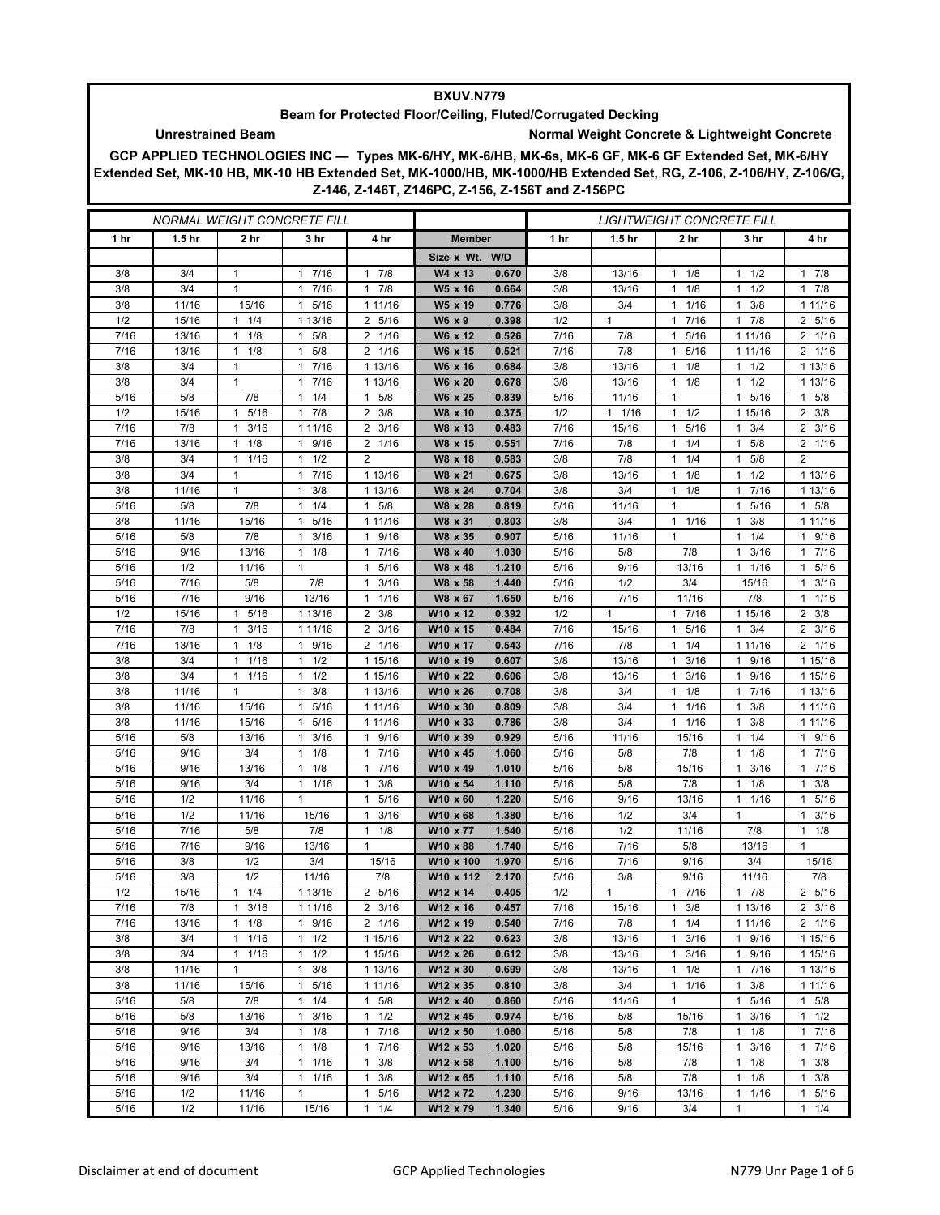## **BXUV.N779**

## **Beam for Protected Floor/Ceiling, Fluted/Corrugated Decking**

## **Unrestrained Beam Normal Weight Concrete & Lightweight Concrete**

**GCP APPLIED TECHNOLOGIES INC — Types MK-6/HY, MK-6/HB, MK-6s, MK-6 GF, MK-6 GF Extended Set, MK-6/HY Extended Set, MK-10 HB, MK-10 HB Extended Set, MK-1000/HB, MK-1000/HB Extended Set, RG, Z-106, Z-106/HY, Z-106/G, Z-146, Z-146T, Z146PC, Z-156, Z-156T and Z-156PC**

| <i>NORMAL WEIGHT CONCRETE FILL</i> |                   |                      |                           |                                     |                       | <i>LIGHTWEIGHT CONCRETE FILL</i> |                 |                   |                                     |                       |                           |
|------------------------------------|-------------------|----------------------|---------------------------|-------------------------------------|-----------------------|----------------------------------|-----------------|-------------------|-------------------------------------|-----------------------|---------------------------|
| 1 <sub>hr</sub>                    | 1.5 <sub>hr</sub> | 2 hr                 | 3 hr                      | 4 hr                                | <b>Member</b>         |                                  | 1 <sub>hr</sub> | 1.5 <sub>hr</sub> | 2 hr                                | 3 hr                  | 4 hr                      |
|                                    |                   |                      |                           |                                     | Size x Wt. W/D        |                                  |                 |                   |                                     |                       |                           |
| 3/8                                | 3/4               | $\mathbf{1}$         | 7/16<br>1                 | 7/8<br>$\mathbf{1}$                 | W4 x 13               | 0.670                            | 3/8             | 13/16             | 1/8<br>$\mathbf{1}$                 | 1/2<br>1              | $1 \t7/8$                 |
| 3/8                                | 3/4               | $\mathbf{1}$         | 7/16<br>1                 | 7/8<br>$\mathbf{1}$                 | W5 x 16               | 0.664                            | 3/8             | 13/16             | 1/8<br>$\mathbf{1}$                 | 1/2<br>1              | 17/8                      |
| 3/8                                | 11/16             | 15/16                | 1 5/16                    | 1 11/16                             | W5 x 19               | 0.776                            | 3/8             | 3/4               | 1/16<br>$\mathbf{1}$                | 3/8<br>1              | 1 1 1 / 16                |
| 1/2                                | 15/16             | $1 \t1/4$            | 1 13/16                   | 2 5/16                              | W6 x 9                | 0.398                            | 1/2             | $\mathbf{1}$      | 7/16<br>$\mathbf{1}$                | 7/8<br>1.             | 2 5/16                    |
| 7/16                               | 13/16             | 1/8<br>1             | 5/8<br>1                  | 1/16<br>2                           | W6 x 12               | 0.526                            | 7/16            | 7/8               | 5/16<br>$\mathbf{1}$                | 1 11/16               | 2 1/16                    |
| 7/16                               | 13/16             | 1/8<br>$\mathbf{1}$  | 5/8<br>$\mathbf{1}$       | 2 1/16                              | W6 x 15               | 0.521                            | 7/16            | 7/8               | 5/16<br>$\mathbf{1}$                | 1 11/16               | 2 1/16                    |
| 3/8                                | 3/4               | 1                    | 1 7/16                    | 1 13/16                             | W6 x 16               | 0.684                            | 3/8             | 13/16             | 1/8<br>$\mathbf{1}$                 | $1 \t1/2$             | 1 13/16                   |
| 3/8                                | 3/4               | 1                    | 7/16<br>1                 | 1 13/16                             | W6 x 20               | 0.678                            | 3/8             | 13/16             | 1/8<br>$\mathbf{1}$                 | 1/2                   | 1 13/16                   |
| 5/16                               | 5/8               | 7/8                  | 1/4<br>$\mathbf{1}$       | 5/8<br>$\mathbf{1}$                 | W6 x 25               | 0.839                            | 5/16            | 11/16             | $\mathbf{1}$                        | 5/16<br>1             | 5/8<br>$\mathbf{1}$       |
| 1/2                                | 15/16             | 1 5/16               | $1 \t7/8$                 | $2 \frac{3}{8}$                     | W8 x 10               | 0.375                            | 1/2             | $1 \t1/16$        | 1/2<br>$\mathbf{1}$                 | 1 15/16               | $2 \frac{3}{8}$           |
| 7/16                               | 7/8               | 3/16<br>1            | 1 11/16                   | 3/16<br>2                           | W8 x 13               | 0.483                            | 7/16            | 15/16             | 5/16<br>$\mathbf{1}$                | 3/4<br>1              | $2 \frac{3}{16}$          |
| 7/16                               | 13/16             | 1/8<br>1             | $\mathbf{1}$<br>9/16      | 2 1/16                              | W8 x 15               | 0.551                            | 7/16            | 7/8               | 1/4<br>$\mathbf{1}$                 | 5/8<br>1              | 2 1/16                    |
| 3/8<br>3/8                         | 3/4<br>3/4        | $\mathbf{1}$<br>1/16 | $1 \t1/2$<br>$\mathbf{1}$ | $\overline{2}$                      | W8 x 18               | 0.583                            | 3/8             | 7/8               | 1/4<br>$\mathbf{1}$<br>$\mathbf{1}$ | 5/8<br>1              | 2                         |
| 3/8                                | 11/16             | 1<br>$\mathbf{1}$    | 7/16<br>3/8<br>1          | 1 13/16<br>1 13/16                  | W8 x 21<br>W8 x 24    | 0.675<br>0.704                   | 3/8<br>3/8      | 13/16<br>3/4      | 1/8<br>1/8<br>$\mathbf{1}$          | 1/2<br>1<br>7/16<br>1 | 1 13/16<br>1 13/16        |
| 5/16                               | 5/8               | 7/8                  | 1/4<br>1                  | 5/8<br>$\mathbf{1}$                 | W8 x 28               | 0.819                            | 5/16            | 11/16             | $\mathbf{1}$                        | 5/16                  | $1 \t5/8$                 |
| 3/8                                | 11/16             | 15/16                | 5/16<br>1                 | 1 11/16                             | W8 x 31               | 0.803                            | 3/8             | 3/4               | 1/16<br>$\mathbf{1}$                | 3/8<br>1              | 1 1 1 / 16                |
| 5/16                               | 5/8               | 7/8                  | 3/16<br>1                 | 9/16<br>1                           | W8 x 35               | 0.907                            | 5/16            | 11/16             | $\mathbf{1}$                        | 1/4<br>1              | 1 9/16                    |
| 5/16                               | 9/16              | 13/16                | 1/8<br>$\mathbf{1}$       | 7/16<br>$\mathbf{1}$                | W8 x 40               | 1.030                            | 5/16            | 5/8               | 7/8                                 | 3/16                  | 17/16                     |
| 5/16                               | 1/2               | 11/16                | 1                         | 5/16<br>$\mathbf{1}$                | W8 x 48               | 1.210                            | 5/16            | 9/16              | 13/16                               | 1/16<br>1             | 1 5/16                    |
| 5/16                               | 7/16              | 5/8                  | 7/8                       | 3/16<br>1                           | W8 x 58               | 1.440                            | 5/16            | 1/2               | 3/4                                 | 15/16                 | $1 \t3/16$                |
| 5/16                               | 7/16              | 9/16                 | 13/16                     | 1/16<br>$\mathbf{1}$                | W8 x 67               | 1.650                            | 5/16            | 7/16              | 11/16                               | 7/8                   | $1 \t1/16$                |
| 1/2                                | 15/16             | 5/16<br>1            | 1 13/16                   | 3/8<br>$\overline{2}$               | W10 x 12              | 0.392                            | 1/2             | $\mathbf{1}$      | 7/16<br>$\mathbf{1}$                | 1 15/16               | $2 \frac{3}{8}$           |
| 7/16                               | 7/8               | 3/16<br>$\mathbf{1}$ | 1 11/16                   | 3/16<br>2                           | W10 x 15              | 0.484                            | 7/16            | 15/16             | 5/16<br>$\mathbf{1}$                | 3/4<br>1              | $2 \frac{3}{16}$          |
| 7/16                               | 13/16             | 1/8<br>1             | 1 9/16                    | 2 1/16                              | W10 x 17              | 0.543                            | 7/16            | 7/8               | 1/4<br>$\mathbf{1}$                 | 1 1 1 / 16            | 2 1/16                    |
| 3/8                                | 3/4               | 1/16<br>1            | 1/2<br>$\mathbf{1}$       | 1 15/16                             | W10 x 19              | 0.607                            | 3/8             | 13/16             | 3/16<br>$\mathbf{1}$                | 9/16<br>1.            | 1 15/16                   |
| 3/8                                | 3/4               | 1/16<br>1            | 1/2<br>$\mathbf{1}$       | 1 15/16                             | W10 x 22              | 0.606                            | 3/8             | 13/16             | 3/16<br>$\mathbf{1}$                | 9/16                  | 1 15/16                   |
| 3/8                                | 11/16             | $\mathbf{1}$         | $1 \t3/8$                 | 1 13/16                             | W10 x 26              | 0.708                            | 3/8             | 3/4               | 1/8<br>1                            | 17/16                 | 1 13/16                   |
| 3/8                                | 11/16             | 15/16                | 5/16<br>1                 | 1 11/16                             | W10 x 30              | 0.809                            | 3/8             | 3/4               | 1/16<br>-1                          | 3/8<br>1.             | 1 11/16                   |
| 3/8                                | 11/16             | 15/16                | 5/16<br>1                 | 1 11/16                             | W10 x 33              | 0.786                            | 3/8             | 3/4               | 1/16<br>$\mathbf{1}$                | 3/8<br>1              | 1 11/16                   |
| 5/16                               | 5/8               | 13/16                | 3/16<br>1                 | 9/16<br>$\mathbf{1}$                | W10 x 39              | 0.929                            | 5/16            | 11/16             | 15/16                               | 1/4<br>1              | 1 9/16                    |
| 5/16                               | 9/16              | 3/4                  | $1 \t1/8$                 | 7/16<br>$\mathbf{1}$                | W10 x 45              | 1.060                            | 5/16            | 5/8               | 7/8                                 | $1 \t1/8$             | 17/16                     |
| 5/16                               | 9/16              | 13/16                | 1/8<br>1                  | 7/16<br>1                           | W10 x 49              | 1.010                            | 5/16            | 5/8               | 15/16                               | 3/16                  | 7/16<br>1                 |
| 5/16                               | 9/16              | 3/4                  | $1 \t1/16$                | 3/8<br>$\mathbf{1}$                 | W10 x 54              | 1.110                            | 5/16            | 5/8               | 7/8                                 | 1/8<br>1              | 3/8<br>$\mathbf{1}$       |
| 5/16                               | 1/2               | 11/16                | $\mathbf{1}$              | $\mathbf{1}$<br>5/16                | W10 x 60              | 1.220                            | 5/16            | 9/16              | 13/16                               | 1 1/16                | 1 5/16                    |
| 5/16                               | 1/2               | 11/16                | 15/16                     | 3/16<br>$\mathbf{1}$                | W10 x 68              | 1.380                            | 5/16            | 1/2               | 3/4                                 | 1                     | 3/16<br>1                 |
| 5/16                               | 7/16<br>7/16      | 5/8<br>9/16          | 7/8                       | 1/8<br>$\mathbf{1}$<br>$\mathbf{1}$ | W10 x 77              | 1.540<br>1.740                   | 5/16            | 1/2<br>7/16       | 11/16                               | 7/8<br>13/16          | $1 \t1/8$<br>$\mathbf{1}$ |
| 5/16<br>5/16                       | 3/8               | 1/2                  | 13/16<br>3/4              | 15/16                               | W10 x 88<br>W10 x 100 | 1.970                            | 5/16<br>5/16    | 7/16              | 5/8<br>9/16                         | 3/4                   | 15/16                     |
| 5/16                               | 3/8               | 1/2                  | 11/16                     | 7/8                                 | W10 x 112             | 2.170                            | 5/16            | 3/8               | 9/16                                | 11/16                 | 7/8                       |
| 1/2                                | 15/16             | 1/4<br>1             | 1 13/16                   | 2 5/16                              | W12 x 14              | 0.405                            | 1/2             | 1                 | 7/16<br>1                           | 7/8                   | 2 5/16                    |
| 7/16                               | 7/8               | $1 \t3/16$           | 1 11/16                   | $2 \frac{3}{16}$                    | W12 x 16              | 0.457                            | 7/16            | 15/16             | $1 \t3/8$                           | 1 13/16               | $2 \frac{3}{16}$          |
| 7/16                               | 13/16             | $1 \t1/8$            | 9/16<br>$\mathbf{1}$      | 2 1/16                              | W12 x 19              | 0.540                            | 7/16            | 7/8               | 1/4<br>$\mathbf{1}$                 | 1 1 1/16              | 2 1/16                    |
| 3/8                                | 3/4               | 1/16<br>1            | $1 \t1/2$                 | 1 15/16                             | W12 x 22              | 0.623                            | 3/8             | 13/16             | 3/16<br>$\mathbf{1}$                | 1 9/16                | 1 15/16                   |
| 3/8                                | 3/4               | 1/16<br>$\mathbf{1}$ | 1/2<br>$\mathbf{1}$       | 1 15/16                             | W12 x 26              | 0.612                            | 3/8             | 13/16             | 3/16<br>$\mathbf{1}$                | 9/16<br>$\mathbf{1}$  | 1 15/16                   |
| 3/8                                | 11/16             | 1                    | $\mathbf{1}$<br>3/8       | 1 13/16                             | W12 x 30              | 0.699                            | 3/8             | 13/16             | 1/8<br>$\mathbf{1}$                 | 17/16                 | 1 13/16                   |
| 3/8                                | 11/16             | 15/16                | $\mathbf{1}$<br>5/16      | 1 11/16                             | W12 x 35              | 0.810                            | 3/8             | 3/4               | 1/16<br>$\mathbf{1}$                | 3/8<br>1              | 1 11/16                   |
| 5/16                               | 5/8               | 7/8                  | 1/4<br>$\mathbf{1}$       | 5/8<br>$\mathbf{1}$                 | W12 x 40              | 0.860                            | 5/16            | 11/16             | $\mathbf{1}$                        | 5/16<br>$\mathbf{1}$  | $1 \t5/8$                 |
| 5/16                               | 5/8               | 13/16                | 3/16<br>$\mathbf{1}$      | $\mathbf{1}$<br>1/2                 | W12 x 45              | 0.974                            | 5/16            | 5/8               | 15/16                               | 3/16<br>1             | $1 \t1/2$                 |
| 5/16                               | 9/16              | 3/4                  | $1 \t1/8$                 | 7/16<br>$\mathbf{1}$                | W12 x 50              | 1.060                            | 5/16            | 5/8               | 7/8                                 | 1/8<br>1              | 17/16                     |
| 5/16                               | 9/16              | 13/16                | 1/8<br>$\mathbf{1}$       | 7/16<br>1                           | W12 x 53              | 1.020                            | 5/16            | 5/8               | 15/16                               | 3/16<br>1             | 17/16                     |
| 5/16                               | 9/16              | 3/4                  | 1/16<br>$\mathbf{1}$      | 3/8<br>$\mathbf{1}$                 | W12 x 58              | 1.100                            | 5/16            | 5/8               | 7/8                                 | 1/8<br>1              | 3/8<br>$\mathbf{1}$       |
| 5/16                               | 9/16              | 3/4                  | 11/16                     | $\mathbf{1}$<br>3/8                 | W12 x 65              | 1.110                            | 5/16            | 5/8               | 7/8                                 | 1/8<br>1              | $1 \t3/8$                 |
| 5/16                               | 1/2               | 11/16                | 1                         | 5/16<br>1                           | W12 x 72              | 1.230                            | 5/16            | 9/16              | 13/16                               | $1 \t1/16$            | 1 5/16                    |
| 5/16                               | 1/2               | 11/16                | 15/16                     | $1 \t1/4$                           | W12 x 79              | 1.340                            | 5/16            | 9/16              | 3/4                                 | $\mathbf{1}$          | 11/4                      |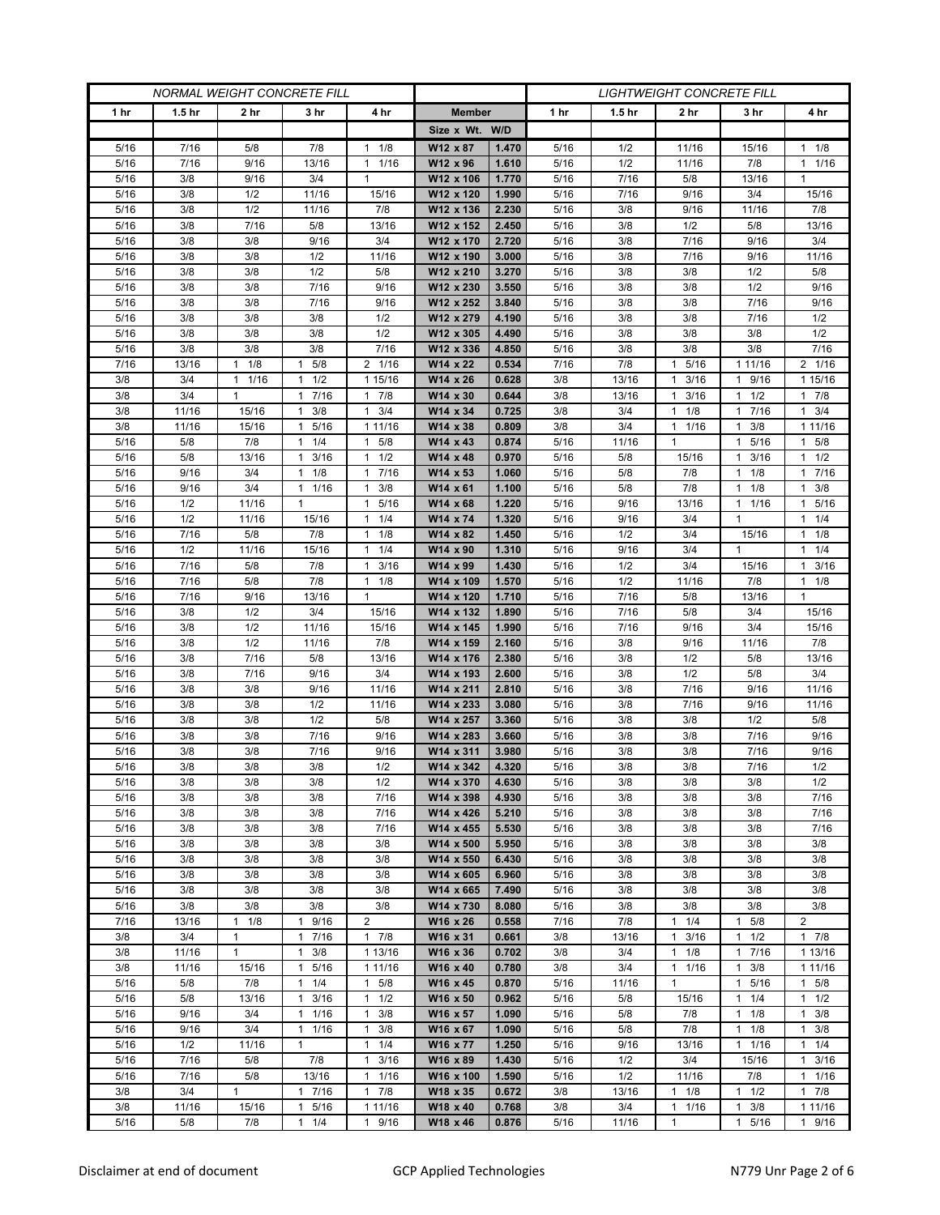| <b>NORMAL WEIGHT CONCRETE FILL</b> |                   |              |                               |                                      | <b>LIGHTWEIGHT CONCRETE FILL</b> |                |                 |                   |                       |                       |                        |
|------------------------------------|-------------------|--------------|-------------------------------|--------------------------------------|----------------------------------|----------------|-----------------|-------------------|-----------------------|-----------------------|------------------------|
| 1 <sub>hr</sub>                    | 1.5 <sub>hr</sub> | 2 hr         | 3 hr                          | 4 hr                                 | <b>Member</b>                    |                | 1 <sub>hr</sub> | 1.5 <sub>hr</sub> | 2 hr                  | 3 hr                  | 4 hr                   |
|                                    |                   |              |                               |                                      | Size x Wt. W/D                   |                |                 |                   |                       |                       |                        |
| 5/16                               | 7/16              | 5/8          | 7/8                           | $1 \t1/8$                            | W12 x 87                         | 1.470          | 5/16            | 1/2               | 11/16                 | 15/16                 | $1 \t1/8$              |
| 5/16                               | 7/16              | 9/16         | 13/16                         | 1/16<br>1                            | W12 x 96                         | 1.610          | 5/16            | 1/2               | 11/16                 | 7/8                   | 11/16                  |
| 5/16                               | 3/8               | 9/16         | 3/4                           | $\mathbf{1}$                         | W12 x 106                        | 1.770          | 5/16            | 7/16              | 5/8                   | 13/16                 | $\mathbf{1}$           |
| 5/16                               | 3/8               | 1/2          | 11/16                         | 15/16                                | W12 x 120                        | 1.990          | 5/16            | 7/16              | 9/16                  | 3/4                   | 15/16                  |
| 5/16                               | 3/8               | 1/2          | 11/16                         | 7/8                                  | W12 x 136                        | 2.230          | 5/16            | 3/8               | 9/16                  | 11/16                 | 7/8                    |
| 5/16                               | 3/8               | 7/16         | 5/8                           | 13/16                                | W12 x 152                        | 2.450          | 5/16            | 3/8               | 1/2                   | 5/8                   | 13/16                  |
| 5/16                               | 3/8               | 3/8          | 9/16                          | 3/4                                  | W12 x 170                        | 2.720          | 5/16            | 3/8               | 7/16                  | 9/16                  | 3/4                    |
| 5/16                               | 3/8               | 3/8          | 1/2                           | 11/16                                | W12 x 190                        | 3.000          | 5/16            | 3/8               | 7/16                  | 9/16                  | 11/16                  |
| 5/16                               | 3/8               | 3/8          | 1/2                           | 5/8                                  | W12 x 210                        | 3.270          | 5/16            | 3/8               | 3/8                   | 1/2                   | 5/8                    |
| 5/16                               | 3/8               | 3/8          | 7/16                          | 9/16                                 | W12 x 230                        | 3.550          | 5/16            | 3/8               | 3/8                   | 1/2                   | 9/16                   |
| 5/16                               | 3/8               | 3/8          | 7/16                          | 9/16                                 | W12 x 252                        | 3.840          | 5/16            | 3/8               | 3/8                   | 7/16                  | 9/16                   |
| 5/16                               | 3/8               | 3/8          | 3/8                           | 1/2                                  | W12 x 279                        | 4.190          | 5/16            | 3/8               | 3/8                   | 7/16                  | 1/2                    |
| 5/16                               | 3/8               | 3/8          | 3/8                           | 1/2                                  | W12 x 305                        | 4.490          | 5/16            | 3/8               | 3/8                   | 3/8                   | 1/2                    |
| 5/16                               | 3/8               | 3/8          | 3/8                           | 7/16                                 | W12 x 336                        | 4.850          | 5/16            | 3/8               | 3/8                   | 3/8                   | 7/16                   |
| 7/16                               | 13/16             | $1 \t1/8$    | $1 \t5/8$                     | 2 1/16                               | W14 x 22                         | 0.534          | 7/16            | 7/8               | 5/16<br>$\mathbf{1}$  | 1 1 1/16              | 2 1/16                 |
| 3/8                                | 3/4               | $1 \t1/16$   | $1 \t1/2$                     | 1 15/16                              | W14 x 26                         | 0.628          | 3/8             | 13/16             | 3/16<br>$\mathbf{1}$  | 1 9/16                | 1 15/16                |
| 3/8                                | 3/4               | 1            | 7/16<br>1                     | 7/8<br>1                             | W14 x 30                         | 0.644          | 3/8             | 13/16             | 3/16<br>$\mathbf{1}$  | 1/2<br>1              | 17/8                   |
| 3/8                                | 11/16             | 15/16        | 3/8<br>$\mathbf{1}$           | 3/4<br>$\mathbf{1}$                  | W14 x 34                         | 0.725          | 3/8             | 3/4               | 1/8<br>$\mathbf{1}$   | 7/16<br>1             | $1 \t3/4$              |
| 3/8                                | 11/16             | 15/16        | 1 5/16                        | 1 11/16                              | W14 x 38                         | 0.809          | 3/8             | 3/4               | 1/16<br>1             | $1 \t3/8$             | 1 11/16                |
| 5/16                               | 5/8               | 7/8          | 1/4<br>$\mathbf{1}$           | 5/8<br>1                             | W14 x 43                         | 0.874          | 5/16            | 11/16             | $\mathbf{1}$          | 5/16                  | $1 \t5/8$              |
| 5/16                               | 5/8               | 13/16        | 3/16<br>1                     | 1/2<br>$\mathbf{1}$                  | W14 x 48                         | 0.970          | 5/16            | 5/8               | 15/16                 | 3/16<br>1             | $1 \t1/2$              |
| 5/16                               | 9/16              | 3/4          | $1 \t1/8$                     | 7/16<br>$\mathbf{1}$                 | W14 x 53                         | 1.060          | 5/16            | 5/8               | 7/8                   | $1 \t1/8$             | 17/16                  |
| 5/16                               | 9/16              | 3/4          | 1/16<br>$\mathbf{1}$          | 3/8<br>$\mathbf{1}$                  | W14 x 61                         | 1.100          | 5/16            | 5/8               | 7/8                   | 1/8<br>1              | $1 \t3/8$              |
| 5/16                               | 1/2               | 11/16        | $\mathbf{1}$                  | 5/16<br>$\mathbf{1}$                 | W14 x 68                         | 1.220          | 5/16            | 9/16              | 13/16                 | 1/16<br>$\mathbf{1}$  | 1 5/16                 |
| 5/16                               | 1/2               | 11/16        | 15/16                         | 1/4<br>$\mathbf{1}$                  | W14 x 74                         | 1.320          | 5/16            | 9/16              | 3/4                   | $\mathbf{1}$          | 11/4                   |
| 5/16                               | 7/16<br>1/2       | 5/8          | 7/8                           | 1/8<br>1<br>1/4                      | W14 x 82<br>W14 x 90             | 1.450<br>1.310 | 5/16            | 1/2               | 3/4<br>3/4            | 15/16<br>$\mathbf{1}$ | $1 \t1/8$<br>$1 \t1/4$ |
| 5/16<br>5/16                       | 7/16              | 11/16<br>5/8 | 15/16<br>7/8                  | 1<br>3/16<br>$\mathbf{1}$            | W14 x 99                         | 1.430          | 5/16<br>5/16    | 9/16<br>1/2       | 3/4                   | 15/16                 | $1 \t3/16$             |
| 5/16                               | 7/16              | 5/8          | 7/8                           | 1/8<br>$\mathbf{1}$                  | W14 x 109                        | 1.570          | 5/16            | 1/2               | 11/16                 | 7/8                   | $1 \t1/8$              |
| 5/16                               | 7/16              | 9/16         | 13/16                         | $\mathbf{1}$                         | W14 x 120                        | 1.710          | 5/16            | 7/16              | 5/8                   | 13/16                 | $\mathbf{1}$           |
| 5/16                               | 3/8               | 1/2          | 3/4                           | 15/16                                | W14 x 132                        | 1.890          | 5/16            | 7/16              | 5/8                   | 3/4                   | 15/16                  |
| 5/16                               | 3/8               | 1/2          | 11/16                         | 15/16                                | W14 x 145                        | 1.990          | 5/16            | 7/16              | 9/16                  | 3/4                   | 15/16                  |
| 5/16                               | 3/8               | 1/2          | 11/16                         | 7/8                                  | W14 x 159                        | 2.160          | 5/16            | 3/8               | 9/16                  | 11/16                 | 7/8                    |
| 5/16                               | 3/8               | 7/16         | 5/8                           | 13/16                                | W14 x 176                        | 2.380          | 5/16            | 3/8               | 1/2                   | 5/8                   | 13/16                  |
| 5/16                               | 3/8               | 7/16         | 9/16                          | 3/4                                  | W14 x 193                        | 2.600          | 5/16            | 3/8               | 1/2                   | 5/8                   | 3/4                    |
| 5/16                               | 3/8               | 3/8          | 9/16                          | 11/16                                | W14 x 211                        | 2.810          | 5/16            | 3/8               | 7/16                  | 9/16                  | 11/16                  |
| 5/16                               | 3/8               | 3/8          | 1/2                           | 11/16                                | W14 x 233                        | 3.080          | 5/16            | 3/8               | 7/16                  | 9/16                  | 11/16                  |
| 5/16                               | 3/8               | 3/8          | 1/2                           | 5/8                                  | W14 x 257                        | 3.360          | 5/16            | 3/8               | 3/8                   | 1/2                   | 5/8                    |
| 5/16                               | 3/8               | 3/8          | 7/16                          | 9/16                                 | W14 x 283                        | 3.660          | 5/16            | 3/8               | 3/8                   | 7/16                  | 9/16                   |
| 5/16                               | 3/8               | 3/8          | 7/16                          | 9/16                                 | W14 x 311                        | 3.980          | 5/16            | 3/8               | 3/8                   | 7/16                  | 9/16                   |
| 5/16                               | 3/8               | 3/8          | 3/8                           | 1/2                                  | W14 x 342                        | 4.320          | 5/16            | 3/8               | 3/8                   | 7/16                  | 1/2                    |
| 5/16                               | 3/8               | 3/8          | 3/8                           | 1/2                                  | W14 x 370                        | 4.630          | 5/16            | 3/8               | 3/8                   | 3/8                   | 1/2                    |
| 5/16                               | 3/8               | 3/8          | 3/8                           | 7/16                                 | W14 x 398                        | 4.930          | 5/16            | 3/8               | 3/8                   | 3/8                   | 7/16                   |
| 5/16                               | 3/8               | 3/8          | 3/8                           | 7/16                                 | W14 x 426                        | 5.210          | 5/16            | 3/8               | 3/8                   | 3/8                   | 7/16                   |
| 5/16                               | 3/8               | 3/8          | 3/8                           | 7/16                                 | W14 x 455                        | 5.530          | 5/16            | 3/8               | 3/8                   | 3/8                   | 7/16                   |
| 5/16                               | 3/8               | 3/8          | 3/8                           | 3/8                                  | W14 x 500                        | 5.950          | 5/16            | 3/8               | 3/8                   | 3/8                   | 3/8                    |
| 5/16                               | 3/8               | 3/8          | 3/8                           | 3/8                                  | W14 x 550                        | 6.430          | 5/16            | 3/8               | 3/8                   | 3/8                   | 3/8                    |
| 5/16                               | 3/8               | 3/8          | 3/8                           | 3/8                                  | W14 x 605                        | 6.960          | 5/16            | 3/8               | 3/8                   | 3/8                   | 3/8                    |
| 5/16                               | 3/8               | 3/8          | 3/8                           | 3/8                                  | W14 x 665                        | 7.490          | $5/16$          | 3/8               | 3/8                   | 3/8                   | 3/8                    |
| 5/16                               | 3/8               | 3/8          | 3/8                           | 3/8                                  | W14 x 730                        | 8.080          | 5/16            | 3/8               | 3/8                   | 3/8                   | 3/8                    |
| 7/16                               | 13/16             | $1 \t1/8$    | 9/16<br>1                     | $\overline{2}$                       | W16 x 26                         | 0.558          | 7/16            | 7/8               | $1 \t1/4$             | $1 \t5/8$             | $\overline{2}$         |
| 3/8                                | 3/4               | 1            | 7/16<br>1                     | $\mathbf{1}$<br>7/8                  | W16 x 31                         | 0.661          | 3/8             | 13/16             | 3/16<br>1             | 1/2<br>$\mathbf{1}$   | $1 \t7/8$              |
| 3/8                                | 11/16             | $\mathbf{1}$ | 3/8<br>$\mathbf{1}$           | 1 13/16                              | W16 x 36                         | 0.702          | 3/8             | 3/4               | 1/8<br>$\mathbf{1}$   | 17/16                 | 1 13/16                |
| 3/8                                | 11/16             | 15/16        | 1 5/16                        | 1 11/16                              | W16 x 40                         | 0.780          | 3/8             | 3/4               | $1 \t1/16$            | 3/8<br>1              | 1 11/16                |
| 5/16                               | 5/8               | 7/8          | $1 \t1/4$                     | 5/8<br>$\mathbf{1}$                  | W16 x 45                         | 0.870          | 5/16            | 11/16             | $\mathbf{1}$          | 5/16<br>1             | $1 \t5/8$              |
| 5/16                               | 5/8               | 13/16        | 3/16<br>$\mathbf{1}$          | $\mathbf{1}$<br>1/2                  | W16 x 50                         | 0.962          | 5/16            | 5/8               | 15/16                 | 1/4<br>1              | $1 \t1/2$              |
| 5/16                               | 9/16              | 3/4          | 1/16<br>$\mathbf{1}$          | 3/8<br>1                             | W16 x 57                         | 1.090          | 5/16            | 5/8               | 7/8                   | 1/8<br>1              | $1 \t3/8$              |
| 5/16                               | 9/16              | 3/4          | 11/16                         | $\mathbf{1}$<br>3/8                  | W16 x 67                         | 1.090          | 5/16            | 5/8               | 7/8                   | $1 \t1/8$             | $1 \t3/8$              |
| 5/16                               | 1/2               | 11/16        | $\mathbf{1}$                  | $\mathbf{1}$<br>1/4                  | W16 x 77                         | 1.250          | 5/16            | 9/16              | 13/16                 | 1 1/16                | $1 \t1/4$              |
| 5/16                               | 7/16              | 5/8          | 7/8                           | 3/16<br>$\mathbf{1}$                 | W16 x 89                         | 1.430          | 5/16            | 1/2               | 3/4                   | 15/16                 | $1 \t3/16$             |
| 5/16                               | 7/16<br>3/4       | 5/8<br>1     | 13/16<br>7/16<br>$\mathbf{1}$ | 1/16<br>$\mathbf{1}$<br>$\mathbf{1}$ | W16 x 100                        | 1.590          | 5/16            | 1/2               | 11/16<br>$\mathbf{1}$ | 7/8<br>$\mathbf{1}$   | 11/16<br>17/8          |
| 3/8<br>3/8                         | 11/16             |              | $\mathbf{1}$                  | 7/8                                  | W18 x 35<br>W18 x 40             | 0.672<br>0.768 | 3/8<br>3/8      | 13/16<br>3/4      | 1/8<br>$\mathbf{1}$   | 1/2<br>3/8<br>1       |                        |
| 5/16                               | 5/8               | 15/16<br>7/8 | 5/16<br>$1 \t1/4$             | 1 11/16<br>9/16<br>$\mathbf{1}$      | W18 x 46                         | 0.876          | 5/16            | 11/16             | 1/16<br>$\mathbf{1}$  | 1 5/16                | 1 11/16<br>1 9/16      |
|                                    |                   |              |                               |                                      |                                  |                |                 |                   |                       |                       |                        |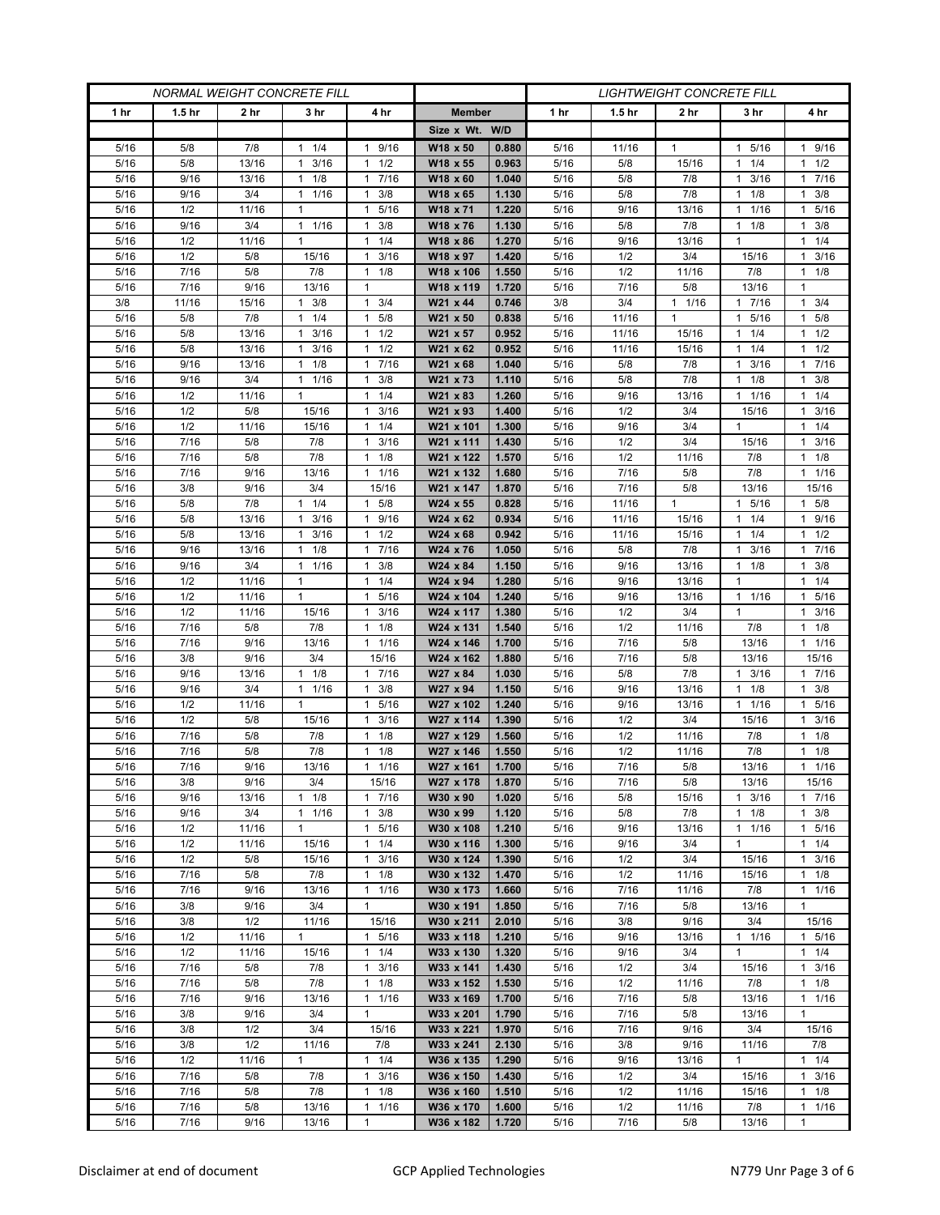| <b>NORMAL WEIGHT CONCRETE FILL</b> |                   |                |                       |                                             | <b>LIGHTWEIGHT CONCRETE FILL</b> |                |                 |                   |              |                       |                                   |
|------------------------------------|-------------------|----------------|-----------------------|---------------------------------------------|----------------------------------|----------------|-----------------|-------------------|--------------|-----------------------|-----------------------------------|
| 1 <sub>hr</sub>                    | 1.5 <sub>hr</sub> | 2 hr           | 3 hr                  | 4 hr                                        | <b>Member</b>                    |                | 1 <sub>hr</sub> | 1.5 <sub>hr</sub> | 2 hr         | 3 hr                  | 4 hr                              |
|                                    |                   |                |                       |                                             | Size x Wt. W/D                   |                |                 |                   |              |                       |                                   |
| 5/16                               | 5/8               | 7/8            | $1 \t1/4$             | 9/16<br>1                                   | W18 x 50                         | 0.880          | 5/16            | 11/16             | $\mathbf{1}$ | 5/16<br>$\mathbf{1}$  | 1 9/16                            |
| 5/16                               | 5/8               | 13/16          | 3/16<br>1             | 1/2<br>1                                    | W18 x 55                         | 0.963          | 5/16            | 5/8               | 15/16        | 1/4<br>1              | $1 \t1/2$                         |
| 5/16                               | 9/16              | 13/16          | 1/8<br>$\mathbf{1}$   | 7/16<br>$\mathbf{1}$                        | W18 x 60                         | 1.040          | 5/16            | 5/8               | 7/8          | 3/16                  | 17/16                             |
| 5/16                               | 9/16              | 3/4            | 1/16<br>$\mathbf{1}$  | 3/8<br>$\mathbf{1}$                         | W18 x 65                         | 1.130          | 5/16            | 5/8               | 7/8          | 1/8<br>1              | $1 \t3/8$                         |
| 5/16                               | 1/2               | 11/16          | $\mathbf{1}$          | 5/16<br>$\mathbf{1}$                        | W18 x 71                         | 1.220          | 5/16            | 9/16              | 13/16        | 1/16<br>1             | 1 5/16                            |
| 5/16                               | 9/16              | 3/4            | $1 \t1/16$            | 3/8<br>1                                    | W18 x 76                         | 1.130          | 5/16            | 5/8               | 7/8          | 1/8<br>1.             | 3/8<br>1                          |
| 5/16                               | 1/2               | 11/16          | 1                     | 1/4<br>1                                    | W18 x 86                         | 1.270          | 5/16            | 9/16              | 13/16        | 1                     | $1 \t1/4$                         |
| 5/16<br>5/16                       | 1/2<br>7/16       | 5/8<br>5/8     | 15/16<br>7/8          | 3/16<br>$\mathbf{1}$<br>1/8<br>$\mathbf{1}$ | W18 x 97<br>W18 x 106            | 1.420<br>1.550 | 5/16<br>5/16    | 1/2<br>1/2        | 3/4<br>11/16 | 15/16<br>7/8          | 3/16<br>$\mathbf{1}$<br>$1 \t1/8$ |
| 5/16                               | 7/16              | 9/16           | 13/16                 | $\mathbf{1}$                                | W18 x 119                        | 1.720          | 5/16            | 7/16              | 5/8          | 13/16                 | 1                                 |
| 3/8                                | 11/16             | 15/16          | 3/8<br>1              | $\mathbf{1}$<br>3/4                         | W21 x 44                         | 0.746          | 3/8             | 3/4               | $1 \t1/16$   | 7/16<br>$\mathbf{1}$  | $1 \t3/4$                         |
| 5/16                               | 5/8               | 7/8            | 1/4<br>1              | 5/8<br>$\mathbf{1}$                         | W21 x 50                         | 0.838          | 5/16            | 11/16             | $\mathbf{1}$ | 5/16<br>1             | $1 \t5/8$                         |
| 5/16                               | 5/8               | 13/16          | 3/16<br>1             | 1/2<br>1                                    | W21 x 57                         | 0.952          | 5/16            | 11/16             | 15/16        | 1/4<br>1              | $1 \t1/2$                         |
| 5/16                               | 5/8               | 13/16          | 3/16<br>$\mathbf{1}$  | $\mathbf{1}$<br>1/2                         | W21 x 62                         | 0.952          | 5/16            | 11/16             | 15/16        | 1/4<br>1              | $1 \t1/2$                         |
| 5/16                               | 9/16              | 13/16          | $1 \t1/8$             | 7/16<br>$\mathbf{1}$                        | W21 x 68                         | 1.040          | 5/16            | 5/8               | 7/8          | 3/16<br>$\mathbf{1}$  | 17/16                             |
| 5/16                               | 9/16              | 3/4            | 1 1/16                | 3/8<br>1                                    | W21 x 73                         | 1.110          | 5/16            | 5/8               | 7/8          | $1 \t1/8$             | $1 \t3/8$                         |
| 5/16                               | 1/2               | 11/16          | $\mathbf{1}$          | 1/4<br>$\mathbf{1}$                         | W21 x 83                         | 1.260          | 5/16            | 9/16              | 13/16        | 1/16<br>1             | 11/4                              |
| 5/16                               | 1/2               | 5/8            | 15/16                 | 3/16<br>1                                   | W21 x 93                         | 1.400          | 5/16            | 1/2               | 3/4          | 15/16                 | $1 \t3/16$                        |
| 5/16                               | 1/2               | 11/16          | 15/16                 | 1/4<br>1                                    | W21 x 101                        | 1.300          | 5/16            | 9/16              | 3/4          | 1                     | $1 \t1/4$                         |
| 5/16                               | 7/16              | 5/8            | 7/8                   | 3/16<br>$\mathbf{1}$                        | W21 x 111                        | 1.430          | 5/16            | 1/2               | 3/4          | 15/16                 | 3/16<br>1                         |
| 5/16                               | 7/16              | 5/8            | 7/8                   | 1/8<br>$\mathbf{1}$                         | W21 x 122                        | 1.570          | 5/16            | 1/2               | 11/16        | 7/8                   | $1 \t1/8$                         |
| 5/16                               | 7/16              | 9/16           | 13/16                 | $\mathbf{1}$<br>1/16                        | W21 x 132                        | 1.680          | 5/16            | 7/16              | 5/8          | 7/8                   | $1 \t1/16$                        |
| 5/16                               | 3/8               | 9/16           | 3/4                   | 15/16                                       | W21 x 147                        | 1.870          | 5/16            | 7/16              | 5/8          | 13/16                 | 15/16                             |
| 5/16                               | 5/8               | 7/8            | $1 \t1/4$             | 5/8<br>$\mathbf{1}$                         | W24 x 55                         | 0.828          | 5/16            | 11/16             | $\mathbf{1}$ | 5/16<br>$\mathbf{1}$  | 1 5/8                             |
| 5/16                               | 5/8               | 13/16          | $1 \t3/16$            | 9/16<br>$\mathbf{1}$                        | W24 x 62                         | 0.934          | 5/16            | 11/16             | 15/16        | $1 \t1/4$             | 1 9/16                            |
| 5/16<br>5/16                       | 5/8<br>9/16       | 13/16<br>13/16 | 3/16<br>1<br>1/8<br>1 | 1/2<br>$\mathbf{1}$<br>7/16<br>1            | W24 x 68<br>W24 x 76             | 0.942<br>1.050 | 5/16<br>5/16    | 11/16<br>5/8      | 15/16<br>7/8 | 1/4<br>1<br>3/16<br>1 | $1 \t1/2$<br>1 7/16               |
| 5/16                               | 9/16              | 3/4            | $1 \t1/16$            | 3/8<br>$\mathbf{1}$                         | W24 x 84                         | 1.150          | 5/16            | 9/16              | 13/16        | 1/8<br>1.             | $1 \t3/8$                         |
| 5/16                               | 1/2               | 11/16          | $\mathbf{1}$          | 1/4<br>$\mathbf{1}$                         | W24 x 94                         | 1.280          | 5/16            | 9/16              | 13/16        | -1                    | $1 \t1/4$                         |
| 5/16                               | 1/2               | 11/16          | $\mathbf{1}$          | 5/16<br>1                                   | W24 x 104                        | 1.240          | 5/16            | 9/16              | 13/16        | 1 1/16                | 1 5/16                            |
| 5/16                               | 1/2               | 11/16          | 15/16                 | 3/16<br>$\mathbf{1}$                        | W24 x 117                        | 1.380          | 5/16            | 1/2               | 3/4          | 1                     | $1 \t3/16$                        |
| 5/16                               | 7/16              | 5/8            | 7/8                   | 1/8<br>1                                    | W24 x 131                        | 1.540          | 5/16            | 1/2               | 11/16        | 7/8                   | $1 \t1/8$                         |
| 5/16                               | 7/16              | 9/16           | 13/16                 | 1/16<br>$\mathbf{1}$                        | W24 x 146                        | 1.700          | 5/16            | 7/16              | 5/8          | 13/16                 | 11/16                             |
| 5/16                               | 3/8               | 9/16           | 3/4                   | 15/16                                       | W24 x 162                        | 1.880          | 5/16            | 7/16              | 5/8          | 13/16                 | 15/16                             |
| 5/16                               | 9/16              | 13/16          | 1/8<br>1              | 7/16<br>1                                   | W27 x 84                         | 1.030          | 5/16            | 5/8               | 7/8          | 3/16<br>1             | 17/16                             |
| 5/16                               | 9/16              | 3/4            | $\mathbf{1}$<br>1/16  | 3/8<br>$\mathbf{1}$                         | W27 x 94                         | 1.150          | 5/16            | 9/16              | 13/16        | 1/8<br>1              | $1 \t3/8$                         |
| 5/16                               | 1/2               | 11/16          | $\mathbf{1}$          | 5/16<br>$\mathbf{1}$                        | W27 x 102                        | 1.240          | 5/16            | 9/16              | 13/16        | 1 1/16                | 5/16<br>1                         |
| 5/16                               | 1/2               | 5/8            | 15/16                 | 3/16<br>$\mathbf{1}$                        | W27 x 114                        | 1.390          | 5/16            | 1/2               | 3/4          | 15/16                 | 3/16<br>$\mathbf{1}$              |
| 5/16                               | 7/16              | 5/8            | 7/8                   | 1/8<br>$\mathbf{1}$                         | W27 x 129                        | 1.560          | 5/16            | 1/2               | 11/16        | 7/8                   | 1/8<br>$\mathbf{1}$               |
| 5/16                               | 7/16              | 5/8            | 7/8                   | 1/8<br>$\mathbf{1}$                         | W27 x 146                        | 1.550          | 5/16            | 1/2               | 11/16        | 7/8                   | $1 \t1/8$                         |
| 5/16                               | 7/16<br>3/8       | 9/16<br>9/16   | 13/16<br>3/4          | 1/16<br>1<br>15/16                          | W27 x 161<br>W27 x 178           | 1.700<br>1.870 | 5/16<br>5/16    | 7/16<br>7/16      | 5/8<br>5/8   | 13/16<br>13/16        | 1/16<br>$\mathbf{1}$<br>15/16     |
| 5/16<br>5/16                       | 9/16              | 13/16          | $1 \t1/8$             | 17/16                                       | W30 x 90                         | 1.020          | 5/16            | 5/8               | 15/16        | $1 \t3/16$            | 17/16                             |
| 5/16                               | 9/16              | 3/4            | $1 \t1/16$            | 3/8<br>$\mathbf{1}$                         | W30 x 99                         | 1.120          | 5/16            | 5/8               | 7/8          | $1 \t1/8$             | $1 \t3/8$                         |
| 5/16                               | 1/2               | 11/16          | $\mathbf{1}$          | 5/16<br>$\mathbf{1}$                        | W30 x 108                        | 1.210          | 5/16            | 9/16              | 13/16        | 1/16<br>1             | 1 5/16                            |
| 5/16                               | 1/2               | 11/16          | 15/16                 | $1 \t1/4$                                   | W30 x 116                        | 1.300          | 5/16            | 9/16              | 3/4          | $\mathbf{1}$          | 11/4                              |
| 5/16                               | 1/2               | 5/8            | 15/16                 | 3/16<br>$\mathbf{1}$                        | W30 x 124                        | 1.390          | 5/16            | 1/2               | 3/4          | 15/16                 | $1 \t3/16$                        |
| 5/16                               | 7/16              | 5/8            | 7/8                   | 1/8<br>$\mathbf{1}$                         | W30 x 132                        | 1.470          | 5/16            | 1/2               | 11/16        | 15/16                 | $1 \t1/8$                         |
| 5/16                               | 7/16              | 9/16           | 13/16                 | $\mathbf{1}$<br>1/16                        | W30 x 173                        | 1.660          | 5/16            | 7/16              | 11/16        | 7/8                   | $1 \t1/16$                        |
| 5/16                               | 3/8               | 9/16           | 3/4                   | $\mathbf{1}$                                | W30 x 191                        | 1.850          | 5/16            | 7/16              | 5/8          | 13/16                 | $\mathbf{1}$                      |
| 5/16                               | 3/8               | 1/2            | 11/16                 | 15/16                                       | W30 x 211                        | 2.010          | 5/16            | 3/8               | 9/16         | 3/4                   | 15/16                             |
| 5/16                               | 1/2               | 11/16          | $\mathbf{1}$          | 5/16<br>$\mathbf{1}$                        | W33 x 118                        | 1.210          | 5/16            | 9/16              | 13/16        | 1 1/16                | 1 5/16                            |
| 5/16                               | 1/2               | 11/16          | 15/16                 | 1/4<br>$\mathbf{1}$                         | W33 x 130                        | 1.320          | 5/16            | 9/16              | 3/4          | $\mathbf{1}$          | 11/4                              |
| 5/16                               | 7/16              | 5/8            | 7/8                   | 3/16<br>$\mathbf{1}$                        | W33 x 141                        | 1.430          | 5/16            | 1/2               | 3/4          | 15/16                 | $1 \t3/16$                        |
| 5/16                               | 7/16              | 5/8            | 7/8                   | 1/8<br>$\mathbf{1}$                         | W33 x 152                        | 1.530          | 5/16            | 1/2               | 11/16        | 7/8                   | $1 \t1/8$                         |
| 5/16                               | 7/16              | 9/16           | 13/16                 | $\mathbf{1}$<br>1/16                        | W33 x 169                        | 1.700          | 5/16            | 7/16              | 5/8          | 13/16                 | $1 \t1/16$                        |
| 5/16                               | 3/8               | 9/16           | 3/4                   | $\mathbf{1}$                                | W33 x 201                        | 1.790          | 5/16            | 7/16              | 5/8          | 13/16                 | $\mathbf{1}$                      |
| 5/16<br>5/16                       | 3/8<br>3/8        | 1/2<br>1/2     | 3/4<br>11/16          | 15/16<br>7/8                                | W33 x 221<br>W33 x 241           | 1.970<br>2.130 | 5/16<br>5/16    | 7/16<br>3/8       | 9/16<br>9/16 | 3/4<br>11/16          | 15/16<br>7/8                      |
| 5/16                               | 1/2               | 11/16          | $\mathbf{1}$          | $1 \t1/4$                                   | W36 x 135                        | 1.290          | 5/16            | 9/16              | 13/16        | $\mathbf{1}$          | $1 \t1/4$                         |
| 5/16                               | 7/16              | 5/8            | 7/8                   | 3/16<br>$\mathbf{1}$                        | W36 x 150                        | 1.430          | 5/16            | 1/2               | 3/4          | 15/16                 | $1 \t3/16$                        |
| 5/16                               | 7/16              | 5/8            | 7/8                   | $\mathbf{1}$<br>1/8                         | W36 x 160                        | 1.510          | 5/16            | 1/2               | 11/16        | 15/16                 | $1 \t1/8$                         |
| 5/16                               | 7/16              | 5/8            | 13/16                 | 1/16<br>$\mathbf{1}$                        | W36 x 170                        | 1.600          | 5/16            | 1/2               | 11/16        | 7/8                   | $1 \t1/16$                        |
| 5/16                               | $7/16$            | 9/16           | 13/16                 | $\mathbf{1}$                                | W36 x 182                        | 1.720          | 5/16            | 7/16              | 5/8          | 13/16                 | $\mathbf{1}$                      |
|                                    |                   |                |                       |                                             |                                  |                |                 |                   |              |                       |                                   |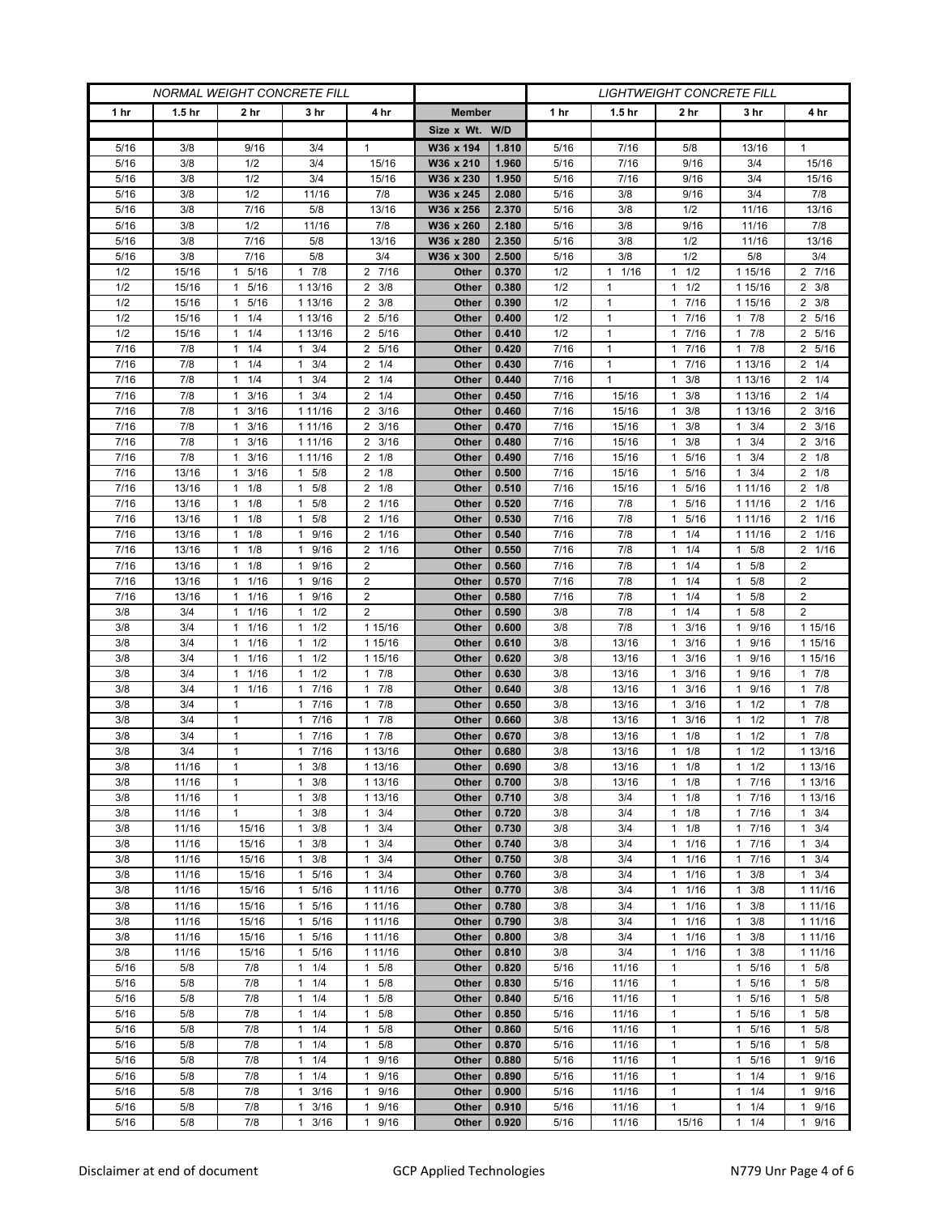| <b>NORMAL WEIGHT CONCRETE FILL</b> |                   |                                     |                                      |                                              |                | <b>LIGHTWEIGHT CONCRETE FILL</b> |              |                   |                                            |                       |                          |  |
|------------------------------------|-------------------|-------------------------------------|--------------------------------------|----------------------------------------------|----------------|----------------------------------|--------------|-------------------|--------------------------------------------|-----------------------|--------------------------|--|
| 1 <sub>hr</sub>                    | 1.5 <sub>hr</sub> | 2 hr                                | 3 hr                                 | 4 hr                                         | <b>Member</b>  |                                  | 1 hr         | 1.5 <sub>hr</sub> | 2 hr                                       | 3 hr                  | 4 hr                     |  |
|                                    |                   |                                     |                                      |                                              | Size x Wt. W/D |                                  |              |                   |                                            |                       |                          |  |
| 5/16                               | 3/8               | 9/16                                | 3/4                                  | $\mathbf{1}$                                 | W36 x 194      | 1.810                            | 5/16         | 7/16              | 5/8                                        | 13/16                 | 1                        |  |
| 5/16                               | 3/8               | 1/2                                 | 3/4                                  | 15/16                                        | W36 x 210      | 1.960                            | 5/16         | 7/16              | 9/16                                       | 3/4                   | 15/16                    |  |
| 5/16                               | 3/8               | 1/2                                 | 3/4                                  | 15/16                                        | W36 x 230      | 1.950                            | 5/16         | 7/16              | 9/16                                       | 3/4                   | 15/16                    |  |
| 5/16                               | 3/8               | 1/2                                 | 11/16                                | 7/8                                          | W36 x 245      | 2.080                            | 5/16         | 3/8               | 9/16                                       | 3/4                   | 7/8                      |  |
| 5/16                               | 3/8               | 7/16                                | 5/8                                  | 13/16                                        | W36 x 256      | 2.370                            | 5/16         | 3/8               | 1/2                                        | 11/16                 | 13/16                    |  |
| 5/16                               | 3/8               | 1/2                                 | 11/16                                | 7/8                                          | W36 x 260      | 2.180                            | 5/16         | 3/8               | 9/16                                       | 11/16                 | 7/8                      |  |
| 5/16                               | 3/8               | 7/16                                | 5/8                                  | 13/16                                        | W36 x 280      | 2.350                            | 5/16         | 3/8               | 1/2                                        | 11/16                 | 13/16                    |  |
| 5/16                               | 3/8               | 7/16                                | 5/8                                  | 3/4                                          | W36 x 300      | 2.500                            | 5/16         | 3/8               | 1/2                                        | 5/8                   | 3/4                      |  |
| 1/2                                | 15/16             | 5/16<br>1                           | 7/8<br>$\mathbf{1}$                  | 2 7/16                                       | Other          | 0.370                            | 1/2          | $1 \t1/16$        | 1/2<br>$\mathbf{1}$                        | 1 15/16               | 2 7/16                   |  |
| 1/2                                | 15/16             | 5/16<br>1                           | 1 13/16                              | $2 \frac{3}{8}$                              | Other          | 0.380                            | 1/2          | $\mathbf{1}$      | 1/2<br>$\mathbf{1}$                        | 1 15/16               | $2 \frac{3}{8}$          |  |
| 1/2                                | 15/16             | 5/16<br>$\mathbf{1}$                | 1 13/16                              | 3/8<br>2                                     | Other          | 0.390                            | 1/2          | $\mathbf{1}$      | 7/16<br>$\mathbf{1}$                       | 1 15/16               | $2 \frac{3}{8}$          |  |
| 1/2                                | 15/16             | 1/4<br>1                            | 1 13/16                              | 5/16<br>2                                    | Other          | 0.400                            | 1/2          | $\mathbf{1}$      | 7/16<br>$\mathbf{1}$                       | $1 \t7/8$             | 2 5/16                   |  |
| 1/2                                | 15/16             | 1/4<br>1                            | 1 13/16                              | 5/16<br>2                                    | Other          | 0.410                            | 1/2          | 1                 | 7/16<br>$\mathbf{1}$                       | 7/8<br>1              | 2 5/16                   |  |
| 7/16                               | 7/8               | 1/4<br>1                            | 3/4<br>$\mathbf{1}$                  | 5/16<br>$\overline{2}$                       | Other          | 0.420                            | 7/16         | $\mathbf{1}$      | 7/16<br>$\mathbf{1}$                       | 7/8<br>$\mathbf{1}$   | 2 5/16                   |  |
| 7/16                               | 7/8               | $1 \t1/4$                           | $1 \t3/4$                            | $2 \t1/4$                                    | Other          | 0.430                            | 7/16         | $\mathbf{1}$      | 7/16<br>$\mathbf{1}$                       | 1 13/16               | $2 \t1/4$                |  |
| 7/16                               | 7/8               | $1 \t1/4$                           | 3/4<br>$\mathbf{1}$                  | $2 \t1/4$                                    | Other          | 0.440                            | 7/16         | $\mathbf{1}$      | 3/8<br>$\mathbf{1}$                        | 1 13/16               | $2 \t1/4$                |  |
| 7/16                               | 7/8               | 3/16<br>1                           | 3/4<br>$\mathbf{1}$                  | 1/4<br>2                                     | Other          | 0.450                            | 7/16         | 15/16             | 3/8<br>$\mathbf{1}$                        | 1 13/16               | $2 \t1/4$                |  |
| 7/16                               | 7/8               | 3/16<br>$\mathbf{1}$                | 1 11/16                              | $2 \frac{3}{16}$                             | Other          | 0.460                            | 7/16         | 15/16             | 3/8<br>$\mathbf{1}$                        | 1 13/16               | $2 \frac{3}{16}$         |  |
| 7/16                               | 7/8               | 3/16<br>$\mathbf{1}$                | 1 11/16                              | $2 \frac{3}{16}$                             | Other          | 0.470                            | 7/16         | 15/16             | 3/8<br>1                                   | $1 \t3/4$             | $2 \frac{3}{16}$         |  |
| 7/16                               | 7/8               | 3/16<br>1                           | 1 11/16                              | 3/16<br>2                                    | Other          | 0.480                            | 7/16         | 15/16             | 3/8<br>$\mathbf{1}$                        | 3/4                   | $2 \frac{3}{16}$         |  |
| 7/16                               | 7/8               | 3/16<br>1                           | 1 11/16                              | 2<br>1/8                                     | Other          | 0.490                            | 7/16         | 15/16             | 5/16<br>$\mathbf{1}$                       | 3/4<br>1              | $2 \t1/8$                |  |
| 7/16                               | 13/16             | 3/16<br>$\mathbf{1}$                | $1 \t5/8$                            | $2 \t1/8$                                    | Other          | 0.500                            | 7/16         | 15/16             | 5/16<br>$\mathbf{1}$                       | $1 \t3/4$             | $2 \t1/8$                |  |
| 7/16                               | 13/16             | 1/8<br>$\mathbf{1}$                 | 5/8<br>$\mathbf{1}$                  | 1/8<br>2                                     | Other          | 0.510                            | 7/16         | 15/16             | 5/16<br>$\mathbf{1}$                       | 1 11/16               | $2 \t1/8$                |  |
| 7/16                               | 13/16             | 1/8<br>$\mathbf{1}$                 | 5/8<br>$\mathbf{1}$                  | 2 1/16                                       | Other          | 0.520                            | 7/16         | 7/8               | 5/16<br>$\mathbf{1}$                       | 1 1 1 / 16            | 2 1/16                   |  |
| 7/16                               | 13/16             | $1 \t1/8$                           | $\mathbf{1}$<br>5/8                  | 2 1/16                                       | Other          | 0.530                            | 7/16         | 7/8               | 5/16<br>$\mathbf{1}$                       | 1 1 1 / 1 6           | 2 1/16                   |  |
| 7/16                               | 13/16             | 1/8<br>$\mathbf{1}$                 | 9/16<br>1                            | 2<br>1/16                                    | Other          | 0.540                            | 7/16         | 7/8               | 1/4<br>$\mathbf{1}$                        | 1 1 1 / 1 6           | 2 1/16                   |  |
| 7/16                               | 13/16             | 1/8<br>$\mathbf{1}$<br>$\mathbf{1}$ | 9/16<br>$\mathbf{1}$<br>$\mathbf{1}$ | 1/16<br>2<br>$\overline{2}$                  | Other          | 0.550<br>0.560                   | 7/16         | 7/8<br>7/8        | 1/4<br>$\mathbf{1}$<br>1/4<br>$\mathbf{1}$ | 5/8<br>1<br>1         | 2 1/16<br>$\overline{2}$ |  |
| 7/16                               | 13/16             | 1/8<br>$\mathbf{1}$                 | 9/16<br>$\mathbf{1}$                 | 2                                            | Other          |                                  | 7/16<br>7/16 | 7/8               | 1/4<br>$\mathbf{1}$                        | 5/8<br>5/8<br>1       | $\overline{2}$           |  |
| 7/16<br>7/16                       | 13/16<br>13/16    | 1/16<br>$1 \t1/16$                  | 9/16<br>9/16<br>1                    | $\overline{2}$                               | Other<br>Other | 0.570<br>0.580                   | 7/16         | 7/8               | 1/4<br>$\mathbf{1}$                        | 5/8<br>1              | $\overline{c}$           |  |
| 3/8                                | 3/4               | 1/16<br>1                           | 1/2<br>$\mathbf{1}$                  | $\overline{2}$                               | Other          | 0.590                            | 3/8          | 7/8               | 1/4<br>$\mathbf{1}$                        | 5/8                   | $\overline{2}$           |  |
| 3/8                                | 3/4               | 1/16<br>1                           | 1/2<br>$\mathbf{1}$                  | 1 15/16                                      | Other          | 0.600                            | 3/8          | 7/8               | 3/16<br>$\mathbf{1}$                       | 9/16<br>1             | 1 15/16                  |  |
| 3/8                                | 3/4               | 1/16<br>$\mathbf{1}$                | $1 \t1/2$                            | 1 15/16                                      | Other          | 0.610                            | 3/8          | 13/16             | 3/16<br>$\mathbf{1}$                       | 9/16<br>1             | 1 15/16                  |  |
| 3/8                                | 3/4               | 1/16<br>$\mathbf{1}$                | $1 \t1/2$                            | 1 15/16                                      | Other          | 0.620                            | 3/8          | 13/16             | 3/16<br>$\mathbf{1}$                       | 9/16                  | 1 15/16                  |  |
| 3/8                                | 3/4               | 1/16<br>1                           | 1/2<br>$\mathbf{1}$                  | 7/8<br>$\mathbf{1}$                          | Other          | 0.630                            | 3/8          | 13/16             | 3/16<br>$\mathbf{1}$                       | 9/16<br>1             | 17/8                     |  |
| 3/8                                | 3/4               | 1/16<br>$\mathbf{1}$                | 7/16<br>$\mathbf{1}$                 | 7/8<br>$\mathbf{1}$                          | Other          | 0.640                            | 3/8          | 13/16             | 3/16<br>$\mathbf{1}$                       | 9/16<br>1             | 17/8                     |  |
| 3/8                                | 3/4               | 1                                   | 17/16                                | 7/8<br>$\mathbf{1}$                          | Other          | 0.650                            | 3/8          | 13/16             | 3/16<br>$\mathbf{1}$                       | 1/2<br>1              | 17/8                     |  |
| 3/8                                | 3/4               | $\mathbf{1}$                        | 7/16<br>$\mathbf{1}$                 | 7/8<br>1                                     | Other          | 0.660                            | 3/8          | 13/16             | 3/16<br>$\mathbf{1}$                       | 1/2<br>1              | 17/8                     |  |
| 3/8                                | 3/4               | $\mathbf{1}$                        | 7/16<br>$\mathbf{1}$                 | 7/8<br>$\mathbf{1}$                          | Other          | 0.670                            | 3/8          | 13/16             | 1/8<br>$\mathbf{1}$                        | 1/2<br>1              | 17/8                     |  |
| 3/8                                | 3/4               | $\mathbf{1}$                        | 7/16<br>$\mathbf{1}$                 | 1 13/16                                      | Other          | 0.680                            | 3/8          | 13/16             | 1/8<br>$\mathbf{1}$                        | 1/2<br>1              | 1 13/16                  |  |
| 3/8                                | 11/16             | $\mathbf{1}$                        | 3/8<br>1                             | 1 13/16                                      | Other          | 0.690                            | 3/8          | 13/16             | 1/8<br>$\mathbf{1}$                        | 1/2<br>$\mathbf{1}$   | 1 13/16                  |  |
| 3/8                                | 11/16             | 1                                   | 3/8<br>$\mathbf{1}$                  | 1 13/16                                      | Other          | 0.700                            | 3/8          | 13/16             | 1/8<br>$\mathbf{1}$                        | 17/16                 | 1 13/16                  |  |
| 3/8                                | 11/16             | $\mathbf{1}$                        | $1 \t3/8$                            | 1 13/16                                      | Other          | 0.710                            | 3/8          | 3/4               | 1/8<br>$\mathbf{1}$                        | 7/16<br>$\mathbf{1}$  | 1 13/16                  |  |
| 3/8                                | 11/16             | 1                                   | $1 \t3/8$                            | 3/4<br>$\mathbf{1}$                          | Other          | 0.720                            | 3/8          | 3/4               | 1/8<br>$\mathbf{1}$                        | 1 7/16                | $1 \t3/4$                |  |
| 3/8                                | 11/16             | 15/16                               | 3/8<br>1                             | 3/4<br>$\mathbf{1}$                          | Other          | 0.730                            | 3/8          | 3/4               | 1/8<br>$\mathbf{1}$                        | 7/16<br>1             | $1 \t3/4$                |  |
| 3/8                                | 11/16             | 15/16                               | 3/8<br>$\mathbf{1}$                  | 3/4<br>$\mathbf{1}$                          | Other          | 0.740                            | 3/8          | 3/4               | 1/16<br>$\mathbf{1}$                       | 7/16<br>$\mathbf{1}$  | $1 \t3/4$                |  |
| 3/8                                | 11/16             | 15/16                               | $1 \t3/8$                            | 3/4<br>1                                     | Other          | 0.750                            | 3/8          | 3/4               | 1/16<br>$\mathbf{1}$                       | 1 7/16                | $1 \t3/4$                |  |
| 3/8                                | 11/16             | 15/16                               | 5/16<br>1                            | 3/4<br>$\mathbf{1}$                          | Other          | 0.760                            | 3/8          | 3/4               | 1/16<br>$\mathbf{1}$                       | 3/8<br>1              | $1 \t3/4$                |  |
| 3/8                                | 11/16             | 15/16                               | $\mathbf{1}$<br>5/16                 | 1 11/16                                      | Other          | 0.770                            | 3/8          | 3/4               | 1/16<br>$\mathbf{1}$                       | 3/8<br>$\mathbf{1}$   | 1 11/16                  |  |
| 3/8                                | 11/16             | 15/16                               | 1 5/16                               | 1 11/16                                      | Other          | 0.780                            | 3/8          | 3/4               | 1/16<br>$\mathbf{1}$                       | 3/8<br>$\mathbf{1}$   | 1 11/16                  |  |
| 3/8                                | 11/16             | 15/16                               | 1 5/16                               | 1 11/16                                      | Other          | 0.790                            | 3/8          | 3/4               | 1/16<br>$\mathbf{1}$                       | 3/8<br>$\mathbf{1}$   | 1 11/16                  |  |
| 3/8                                | 11/16             | 15/16                               | 5/16<br>1                            | 1 11/16                                      | Other          | 0.800                            | 3/8          | 3/4               | 1/16<br>$\mathbf{1}$                       | 3/8<br>1              | 1 11/16                  |  |
| 3/8                                | 11/16             | 15/16                               | $\mathbf{1}$<br>5/16                 | 1 11/16                                      | Other          | 0.810                            | 3/8          | 3/4               | 1/16<br>$\mathbf{1}$                       | 3/8<br>1              | 1 11/16                  |  |
| 5/16                               | 5/8               | 7/8                                 | $1 \t1/4$                            | $\mathbf{1}$<br>5/8                          | Other          | 0.820                            | 5/16         | 11/16             | $\mathbf{1}$                               | 5/16<br>1             | $1 \t5/8$                |  |
| 5/16                               | 5/8               | 7/8                                 | $\mathbf{1}$<br>1/4                  | 5/8<br>1                                     | Other          | 0.830                            | 5/16         | 11/16             | $\mathbf{1}$                               | 5/16<br>1             | 1 5/8                    |  |
| 5/16                               | 5/8               | 7/8                                 | 1/4<br>$\mathbf{1}$                  | 5/8<br>1                                     | Other          | 0.840                            | 5/16         | 11/16             | $\mathbf{1}$                               | 5/16                  | 1 5/8                    |  |
| 5/16                               | 5/8               | 7/8                                 | 1/4<br>$\mathbf{1}$                  | 5/8<br>1                                     | Other          | 0.850                            | 5/16         | 11/16             | $\mathbf{1}$                               | 5/16<br>1             | $1 \t5/8$                |  |
| 5/16                               | 5/8               | 7/8                                 | 1/4<br>$\mathbf{1}$                  | $\mathbf{1}$<br>5/8                          | Other          | 0.860                            | 5/16         | 11/16             | $\mathbf{1}$                               | 5/16<br>1             | 1 5/8                    |  |
| 5/16                               | 5/8               | 7/8                                 | $\mathbf{1}$<br>1/4<br>$\mathbf{1}$  | 5/8<br>1                                     | Other          | 0.870                            | 5/16         | 11/16             | $\mathbf{1}$                               | 5/16                  | 1 5/8                    |  |
| 5/16<br>5/16                       | 5/8<br>5/8        | 7/8<br>7/8                          | 1/4<br>1/4<br>$\mathbf{1}$           | 9/16<br>$\mathbf{1}$<br>9/16<br>$\mathbf{1}$ | Other<br>Other | 0.880<br>0.890                   | 5/16<br>5/16 | 11/16             | $\mathbf{1}$<br>$\mathbf{1}$               | 5/16<br>1<br>1/4<br>1 | 1 9/16<br>1 9/16         |  |
|                                    | 5/8               | 7/8                                 | 3/16<br>1                            | 9/16<br>$\mathbf{1}$                         |                | 0.900                            |              | 11/16             | $\mathbf{1}$                               | 1                     | 9/16<br>$\mathbf{1}$     |  |
| 5/16<br>5/16                       | 5/8               | 7/8                                 | 1                                    | 1                                            | Other<br>Other | 0.910                            | 5/16<br>5/16 | 11/16<br>11/16    | $\mathbf{1}$                               | 1/4<br>1/4<br>1       | 1 9/16                   |  |
| $5/16$                             | $5/8$             | 7/8                                 | 3/16<br>3/16<br>$\mathbf{1}$         | 9/16<br>9/16<br>$\mathbf{1}$                 | Other          | 0.920                            | 5/16         | 11/16             |                                            | 1/4<br>$\mathbf{1}$   | 1 9/16                   |  |
|                                    |                   |                                     |                                      |                                              |                |                                  |              |                   | 15/16                                      |                       |                          |  |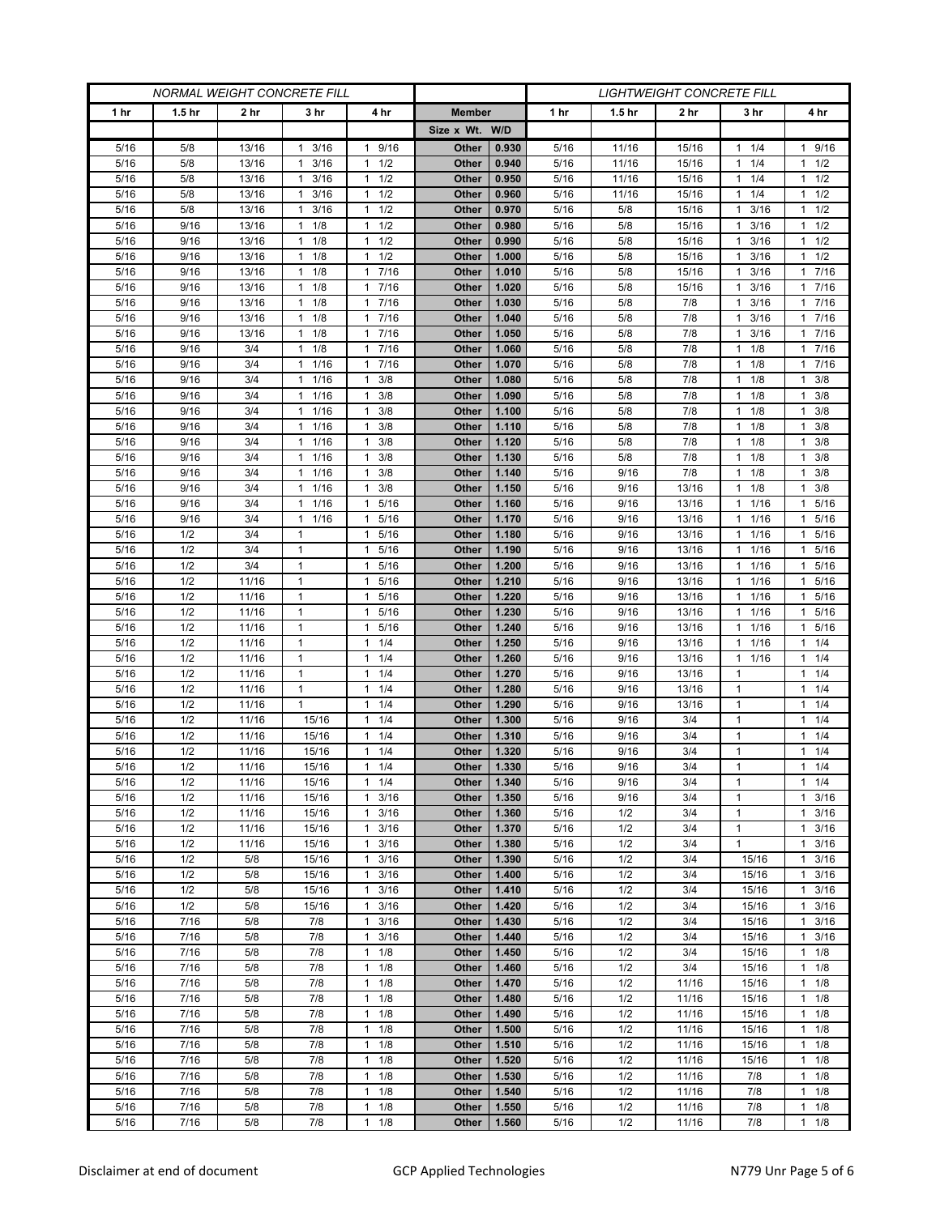| <b>NORMAL WEIGHT CONCRETE FILL</b> |                   |                |                              |                                   | <b>LIGHTWEIGHT CONCRETE FILL</b> |                |              |                   |            |                      |                                              |
|------------------------------------|-------------------|----------------|------------------------------|-----------------------------------|----------------------------------|----------------|--------------|-------------------|------------|----------------------|----------------------------------------------|
| 1 hr                               | 1.5 <sub>hr</sub> | 2 hr           | 3 hr                         | 4 hr                              | <b>Member</b>                    |                | 1 hr         | 1.5 <sub>hr</sub> | 2 hr       | 3 hr                 | 4 hr                                         |
|                                    |                   |                |                              |                                   | Size x Wt. W/D                   |                |              |                   |            |                      |                                              |
| 5/16                               | 5/8               | 13/16          | $1 \t3/16$                   | 9/16<br>1                         | Other                            | 0.930          | 5/16         | 11/16             | 15/16      | $1 \t1/4$            | 1 9/16                                       |
| 5/16                               | 5/8               | 13/16          | 3/16<br>1                    | 1/2<br>$\mathbf{1}$               | Other                            | 0.940          | 5/16         | 11/16             | 15/16      | 1/4<br>1             | $1 \t1/2$                                    |
| 5/16                               | 5/8               | 13/16          | 3/16<br>$\mathbf{1}$         | 1/2<br>$\mathbf{1}$               | Other                            | 0.950          | 5/16         | 11/16             | 15/16      | 1/4                  | $1 \t1/2$                                    |
| 5/16                               | 5/8               | 13/16          | 3/16<br>1                    | 1/2<br>1                          | Other                            | 0.960          | 5/16         | 11/16             | 15/16      | 1/4<br>1             | $1 \t1/2$                                    |
| 5/16                               | 5/8               | 13/16          | 3/16<br>$\mathbf{1}$         | 1/2<br>$\mathbf{1}$               | Other                            | 0.970          | 5/16         | 5/8               | 15/16      | 3/16<br>1            | $1 \t1/2$                                    |
| 5/16                               | 9/16              | 13/16          | 1/8<br>$\mathbf{1}$          | 1/2<br>1                          | Other                            | 0.980          | 5/16         | 5/8               | 15/16      | 3/16                 | $1 \t1/2$                                    |
| 5/16                               | 9/16              | 13/16          | $1 \t1/8$                    | 1/2<br>$\mathbf{1}$               | Other                            | 0.990          | 5/16         | 5/8               | 15/16      | 3/16<br>1            | 1/2<br>1                                     |
| 5/16                               | 9/16              | 13/16          | 1/8<br>$\mathbf{1}$          | 1/2<br>$\mathbf{1}$               | Other                            | 1.000          | 5/16         | 5/8               | 15/16      | 3/16<br>1            | $1 \t1/2$                                    |
| 5/16                               | 9/16              | 13/16          | 1/8<br>$\mathbf{1}$          | 7/16<br>$\mathbf{1}$              | Other                            | 1.010          | 5/16         | 5/8               | 15/16      | 3/16                 | 17/16                                        |
| 5/16                               | 9/16              | 13/16          | 1/8<br>$\mathbf{1}$          | 7/16<br>$\mathbf{1}$              | Other                            | 1.020          | 5/16         | 5/8               | 15/16      | 3/16<br>1            | 17/16                                        |
| 5/16                               | 9/16              | 13/16          | 1/8<br>$\mathbf{1}$          | 7/16<br>$\mathbf{1}$              | Other                            | 1.030          | 5/16         | 5/8               | 7/8        | 3/16<br>1            | 17/16                                        |
| 5/16                               | 9/16              | 13/16          | 1/8<br>$\mathbf{1}$          | 7/16<br>$\mathbf{1}$              | Other                            | 1.040          | 5/16         | 5/8               | 7/8        | 3/16<br>1            | 17/16                                        |
| 5/16                               | 9/16              | 13/16          | 1/8<br>$\mathbf{1}$          | 7/16<br>$\mathbf{1}$              | Other                            | 1.050          | 5/16         | 5/8               | 7/8        | 3/16<br>1            | 17/16                                        |
| 5/16                               | 9/16              | 3/4            | 1/8<br>$\mathbf{1}$          | 7/16<br>$\mathbf{1}$              | Other                            | 1.060          | 5/16         | 5/8               | 7/8        | 1/8<br>1             | 7/16<br>$\mathbf{1}$                         |
| 5/16                               | 9/16              | 3/4            | $1 \t1/16$                   | 7/16<br>$\mathbf{1}$              | Other                            | 1.070          | 5/16         | 5/8               | 7/8        | 1/8<br>$\mathbf{1}$  | 17/16                                        |
| 5/16                               | 9/16              | 3/4            | 1 1/16                       | 3/8<br>1                          | Other                            | 1.080          | 5/16         | 5/8               | 7/8        | 1/8<br>1             | $1 \t3/8$                                    |
| 5/16                               | 9/16              | 3/4            | 1<br>1/16                    | $\mathbf{1}$<br>3/8               | Other                            | 1.090          | 5/16         | 5/8               | 7/8        | 1/8<br>1             | 3/8<br>$\mathbf{1}$                          |
| 5/16                               | 9/16              | 3/4            | 1/16<br>$\mathbf{1}$         | 3/8<br>$\mathbf{1}$               | Other                            | 1.100          | 5/16         | 5/8               | 7/8        | 1/8<br>1             | $1 \t3/8$                                    |
| 5/16                               | 9/16              | 3/4            | 1 1/16<br>1                  | 3/8<br>$\mathbf{1}$               | Other                            | 1.110          | 5/16         | 5/8               | 7/8        | $1 \t1/8$<br>1       | $1 \t3/8$<br>1                               |
| 5/16<br>5/16                       | 9/16<br>9/16      | 3/4<br>3/4     | 1/16<br>1/16<br>$\mathbf{1}$ | 3/8<br>1<br>3/8<br>$\mathbf{1}$   | Other<br>Other                   | 1.120<br>1.130 | 5/16<br>5/16 | 5/8<br>5/8        | 7/8<br>7/8 | 1/8<br>1/8<br>1      | 3/8<br>3/8<br>$\mathbf{1}$                   |
| 5/16                               | 9/16              | 3/4            | 1 1/16                       | 3/8<br>1                          | Other                            | 1.140          | 5/16         | 9/16              | 7/8        | $1 \t1/8$            | $1 \t3/8$                                    |
| 5/16                               | 9/16              | 3/4            | 1/16<br>$\mathbf 1$          | 3/8<br>1                          | Other                            | 1.150          | 5/16         | 9/16              | 13/16      | 1/8<br>1             | 3/8<br>1                                     |
| 5/16                               | 9/16              | 3/4            | 1/16<br>$\mathbf{1}$         | 5/16<br>$\mathbf{1}$              | Other                            | 1.160          | 5/16         | 9/16              | 13/16      | 1/16<br>1            | 1 5/16                                       |
| 5/16                               | 9/16              | 3/4            | $1 \t1/16$                   | $\mathbf{1}$<br>5/16              | Other                            | 1.170          | 5/16         | 9/16              | 13/16      | 1 1/16               | 1 5/16                                       |
| 5/16                               | 1/2               | 3/4            | 1                            | 5/16<br>$\mathbf{1}$              | Other                            | 1.180          | 5/16         | 9/16              | 13/16      | 1/16<br>1            | 5/16<br>1                                    |
| 5/16                               | 1/2               | 3/4            | $\mathbf{1}$                 | 5/16<br>$\mathbf{1}$              | Other                            | 1.190          | 5/16         | 9/16              | 13/16      | 1/16<br>1            | 5/16<br>1                                    |
| 5/16                               | 1/2               | 3/4            | $\mathbf{1}$                 | 5/16<br>$\mathbf{1}$              | Other                            | 1.200          | 5/16         | 9/16              | 13/16      | 1/16<br>1            | 5/16<br>$\mathbf{1}$                         |
| 5/16                               | 1/2               | 11/16          | $\mathbf{1}$                 | 5/16<br>$\mathbf{1}$              | Other                            | 1.210          | 5/16         | 9/16              | 13/16      | 1/16<br>1            | 5/16<br>$\mathbf{1}$                         |
| 5/16                               | 1/2               | 11/16          | $\mathbf{1}$                 | 5/16<br>$\mathbf{1}$              | Other                            | 1.220          | 5/16         | 9/16              | 13/16      | 1/16<br>$\mathbf{1}$ | 1 5/16                                       |
| 5/16                               | 1/2               | 11/16          | $\mathbf{1}$                 | 5/16<br>1                         | Other                            | 1.230          | 5/16         | 9/16              | 13/16      | 1/16<br>1            | 5/16<br>1                                    |
| 5/16                               | 1/2               | 11/16          | $\mathbf{1}$                 | 5/16<br>1                         | Other                            | 1.240          | 5/16         | 9/16              | 13/16      | 1/16<br>1            | 5/16<br>1                                    |
| 5/16                               | 1/2               | 11/16          | $\mathbf{1}$                 | 1/4<br>$\mathbf{1}$               | Other                            | 1.250          | 5/16         | 9/16              | 13/16      | 1/16<br>1            | 11/4                                         |
| 5/16                               | 1/2               | 11/16          | $\mathbf{1}$                 | 1/4<br>1                          | Other                            | 1.260          | 5/16         | 9/16              | 13/16      | 1/16<br>1            | 11/4                                         |
| 5/16                               | 1/2               | 11/16          | $\mathbf{1}$                 | 1/4<br>$\mathbf{1}$               | Other                            | 1.270          | 5/16         | 9/16              | 13/16      | -1                   | $1 \t1/4$                                    |
| 5/16                               | 1/2               | 11/16          | $\mathbf{1}$                 | 1/4<br>$\mathbf{1}$               | Other                            | 1.280          | 5/16         | 9/16              | 13/16      | $\mathbf{1}$         | 11/4                                         |
| 5/16                               | 1/2               | 11/16          | $\mathbf{1}$                 | 1/4<br>$\mathbf{1}$               | Other                            | 1.290          | 5/16         | 9/16              | 13/16      | $\mathbf{1}$         | 11/4                                         |
| 5/16                               | 1/2               | 11/16          | 15/16                        | 1/4<br>1                          | Other                            | 1.300          | 5/16         | 9/16              | 3/4        | 1                    | $1 \t1/4$                                    |
| 5/16                               | 1/2               | 11/16          | 15/16                        | 1/4<br>$\mathbf{1}$               | Other                            | 1.310          | 5/16         | 9/16              | 3/4        | $\mathbf{1}$         | 11/4                                         |
| 5/16                               | 1/2               | 11/16          | 15/16                        | 1/4<br>$\mathbf{1}$               | Other                            | 1.320          | 5/16         | 9/16              | 3/4        | $\mathbf{1}$         | $1 \t1/4$                                    |
| 5/16                               | 1/2               | 11/16          | 15/16                        | 1/4<br>$\mathbf{1}$               | Other                            | 1.330          | 5/16         | 9/16              | 3/4        | $\mathbf{1}$         | $1 \t1/4$                                    |
| 5/16                               | 1/2               | 11/16          | 15/16                        | 1/4<br>1                          | Other                            | 1.340          | 5/16         | 9/16              | 3/4        | 1                    | $1 \t1/4$                                    |
| 5/16                               | 1/2               | 11/16          | 15/16                        | 3/16<br>$\mathbf{1}$              | Other                            | 1.350          | $5/16$       | 9/16              | 3/4        | $\mathbf{1}$         | $1 \t3/16$                                   |
| 5/16                               | 1/2               | 11/16          | 15/16                        | 3/16<br>1                         | Other                            | 1.360          | 5/16         | 1/2               | 3/4        | 1                    | $1 \t3/16$                                   |
| 5/16<br>5/16                       | 1/2<br>1/2        | 11/16<br>11/16 | 15/16<br>15/16               | 3/16<br>1<br>3/16<br>$\mathbf{1}$ | Other<br>Other                   | 1.370<br>1.380 | 5/16<br>5/16 | 1/2<br>1/2        | 3/4<br>3/4 | 1<br>$\mathbf{1}$    | 3/16<br>$\mathbf{1}$<br>3/16<br>$\mathbf{1}$ |
| 5/16                               | 1/2               | 5/8            | 15/16                        | 3/16<br>1                         | Other                            | 1.390          | 5/16         | 1/2               | 3/4        | 15/16                | $1 \t3/16$                                   |
| 5/16                               | 1/2               | 5/8            | 15/16                        | 3/16<br>$\mathbf{1}$              | Other                            | 1.400          | 5/16         | 1/2               | 3/4        | 15/16                | $1 \t3/16$                                   |
| 5/16                               | 1/2               | 5/8            | 15/16                        | 3/16<br>$\mathbf{1}$              | Other                            | 1.410          | 5/16         | 1/2               | 3/4        | 15/16                | $1 \t3/16$                                   |
| 5/16                               | 1/2               | 5/8            | 15/16                        | 3/16<br>$\mathbf{1}$              | Other                            | 1.420          | 5/16         | 1/2               | 3/4        | 15/16                | $1 \t3/16$                                   |
| 5/16                               | 7/16              | 5/8            | 7/8                          | 3/16<br>$\mathbf{1}$              | Other                            | 1.430          | 5/16         | 1/2               | 3/4        | 15/16                | $1 \t3/16$                                   |
| 5/16                               | 7/16              | 5/8            | 7/8                          | 3/16<br>$\mathbf{1}$              | Other                            | 1.440          | 5/16         | 1/2               | 3/4        | 15/16                | $1 \t3/16$                                   |
| 5/16                               | 7/16              | 5/8            | 7/8                          | 1/8<br>$\mathbf{1}$               | Other                            | 1.450          | 5/16         | 1/2               | 3/4        | 15/16                | $1 \t1/8$                                    |
| 5/16                               | 7/16              | 5/8            | 7/8                          | 1/8<br>$\mathbf{1}$               | Other                            | 1.460          | 5/16         | 1/2               | 3/4        | 15/16                | $1 \t1/8$                                    |
| 5/16                               | 7/16              | 5/8            | 7/8                          | 1/8<br>$\mathbf{1}$               | Other                            | 1.470          | 5/16         | 1/2               | 11/16      | 15/16                | $1 \t1/8$                                    |
| 5/16                               | 7/16              | 5/8            | 7/8                          | 1/8<br>$\mathbf{1}$               | Other                            | 1.480          | 5/16         | 1/2               | 11/16      | 15/16                | $1 \t1/8$                                    |
| 5/16                               | 7/16              | 5/8            | 7/8                          | 1/8<br>$\mathbf{1}$               | Other                            | 1.490          | 5/16         | 1/2               | 11/16      | 15/16                | $1 \t1/8$                                    |
| 5/16                               | 7/16              | 5/8            | 7/8                          | 1/8<br>$\mathbf{1}$               | Other                            | 1.500          | 5/16         | 1/2               | 11/16      | 15/16                | $1 \t1/8$                                    |
| 5/16                               | 7/16              | 5/8            | 7/8                          | 1/8<br>$\mathbf{1}$               | Other                            | 1.510          | 5/16         | 1/2               | 11/16      | 15/16                | $1 \t1/8$                                    |
| 5/16                               | 7/16              | 5/8            | 7/8                          | 1/8<br>$\mathbf{1}$               | Other                            | 1.520          | 5/16         | 1/2               | 11/16      | 15/16                | $1 \t1/8$                                    |
| 5/16                               | 7/16              | 5/8            | 7/8                          | 1/8<br>$\mathbf{1}$               | Other                            | 1.530          | 5/16         | 1/2               | 11/16      | 7/8                  | $1 \t1/8$                                    |
| 5/16                               | 7/16              | 5/8            | 7/8                          | 1/8<br>$\mathbf{1}$               | Other                            | 1.540          | 5/16         | 1/2               | 11/16      | 7/8                  | $1 \t1/8$                                    |
| 5/16                               | 7/16              | $5/8$          | 7/8                          | 1/8<br>$\mathbf{1}$               | Other                            | 1.550          | 5/16         | 1/2               | 11/16      | 7/8                  | $1 \t1/8$                                    |
| 5/16                               | 7/16              | 5/8            | 7/8                          | 1/8<br>$\mathbf{1}$               | Other                            | 1.560          | 5/16         | 1/2               | 11/16      | $7/8$                | $1 \t1/8$                                    |